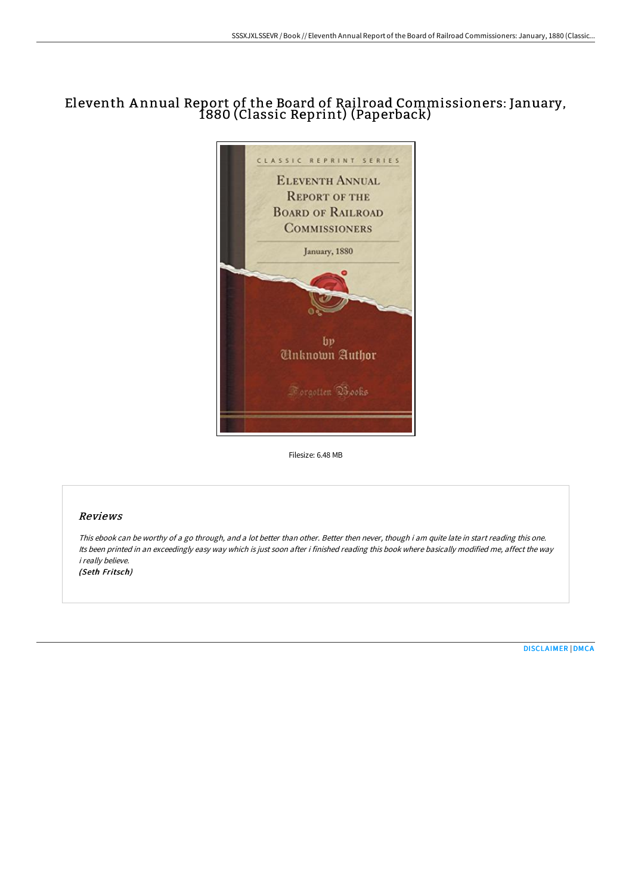# Eleventh A nnual Report of the Board of Rail road Commissioners: January, 1880 (Classic Reprint) (Paperback)



Filesize: 6.48 MB

# Reviews

This ebook can be worthy of <sup>a</sup> go through, and <sup>a</sup> lot better than other. Better then never, though i am quite late in start reading this one. Its been printed in an exceedingly easy way which is just soon after i finished reading this book where basically modified me, affect the way i really believe. (Seth Fritsch)

[DISCLAIMER](http://bookera.tech/disclaimer.html) | [DMCA](http://bookera.tech/dmca.html)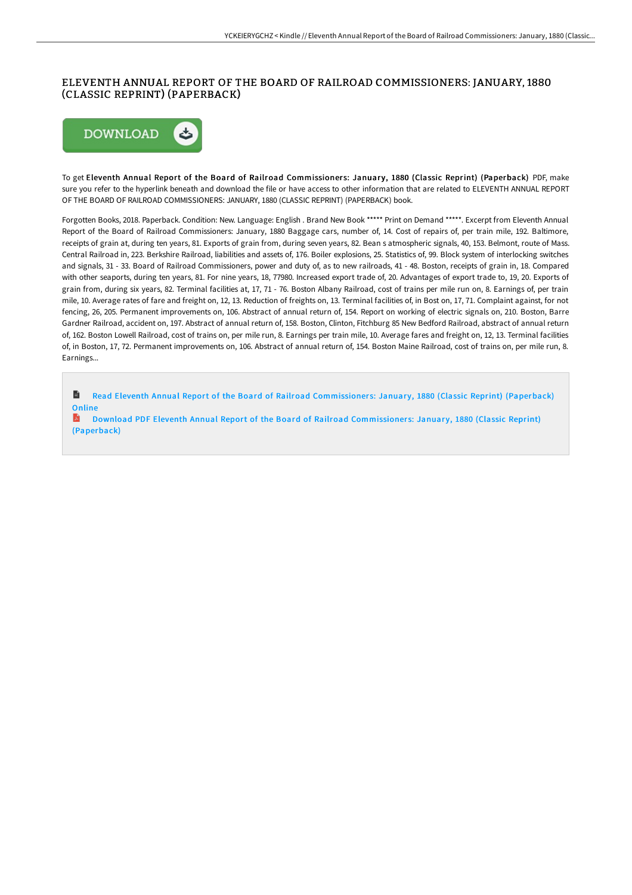## ELEVENTH ANNUAL REPORT OF THE BOARD OF RAILROAD COMMISSIONERS: JANUARY, 1880 (CLASSIC REPRINT) (PAPERBACK)



To get Eleventh Annual Report of the Board of Railroad Commissioners: January, 1880 (Classic Reprint) (Paperback) PDF, make sure you refer to the hyperlink beneath and download the file or have access to other information that are related to ELEVENTH ANNUAL REPORT OF THE BOARD OF RAILROAD COMMISSIONERS: JANUARY, 1880 (CLASSIC REPRINT) (PAPERBACK) book.

Forgotten Books, 2018. Paperback. Condition: New. Language: English . Brand New Book \*\*\*\*\* Print on Demand \*\*\*\*\*. Excerpt from Eleventh Annual Report of the Board of Railroad Commissioners: January, 1880 Baggage cars, number of, 14. Cost of repairs of, per train mile, 192. Baltimore, receipts of grain at, during ten years, 81. Exports of grain from, during seven years, 82. Bean s atmospheric signals, 40, 153. Belmont, route of Mass. Central Railroad in, 223. Berkshire Railroad, liabilities and assets of, 176. Boiler explosions, 25. Statistics of, 99. Block system of interlocking switches and signals, 31 - 33. Board of Railroad Commissioners, power and duty of, as to new railroads, 41 - 48. Boston, receipts of grain in, 18. Compared with other seaports, during ten years, 81. For nine years, 18, 77980. Increased export trade of, 20. Advantages of export trade to, 19, 20. Exports of grain from, during six years, 82. Terminal facilities at, 17, 71 - 76. Boston Albany Railroad, cost of trains per mile run on, 8. Earnings of, per train mile, 10. Average rates of fare and freight on, 12, 13. Reduction of freights on, 13. Terminal facilities of, in Bost on, 17, 71. Complaint against, for not fencing, 26, 205. Permanent improvements on, 106. Abstract of annual return of, 154. Report on working of electric signals on, 210. Boston, Barre Gardner Railroad, accident on, 197. Abstract of annual return of, 158. Boston, Clinton, Fitchburg 85 New Bedford Railroad, abstract of annual return of, 162. Boston Lowell Railroad, cost of trains on, per mile run, 8. Earnings per train mile, 10. Average fares and freight on, 12, 13. Terminal facilities of, in Boston, 17, 72. Permanent improvements on, 106. Abstract of annual return of, 154. Boston Maine Railroad, cost of trains on, per mile run, 8. Earnings...

h Read Eleventh Annual Report of the Board of Railroad [Commissioner](http://bookera.tech/eleventh-annual-report-of-the-board-of-railroad-.html)s: January, 1880 (Classic Reprint) (Paperback) **Online** 

Download PDF Eleventh Annual Report of the Board of Railroad [Commissioner](http://bookera.tech/eleventh-annual-report-of-the-board-of-railroad-.html)s: January, 1880 (Classic Reprint) (Paperback)